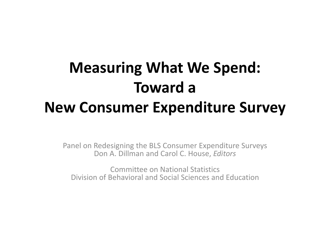### **Measuring What We Spend: Toward a New Consumer Expenditure Survey**

Panel on Redesigning the BLS Consumer Expenditure Surveys Don A. Dillman and Carol C. House, *Editors* Committee on National Statistics

Division of Behavioral and Social Sciences and Education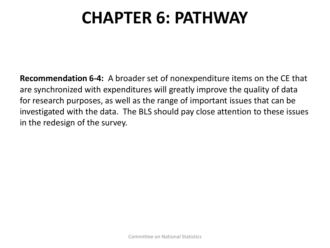**Recommendation 6-4:** A broader set of nonexpenditure items on the CE that are synchronized with expenditures will greatly improve the quality of data for research purposes, as well as the range of important issues that can be investigated with the data. The BLS should pay close attention to these issues in the redesign of the survey.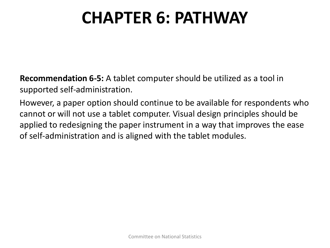**Recommendation 6-5:** A tablet computer should be utilized as a tool in supported self-administration.

However, a paper option should continue to be available for respondents who cannot or will not use a tablet computer. Visual design principles should be applied to redesigning the paper instrument in a way that improves the ease of self-administration and is aligned with the tablet modules.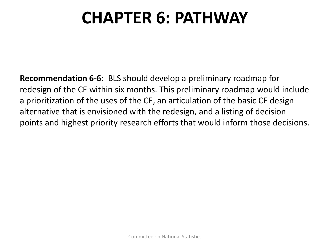**Recommendation 6-6:** BLS should develop a preliminary roadmap for redesign of the CE within six months. This preliminary roadmap would include a prioritization of the uses of the CE, an articulation of the basic CE design alternative that is envisioned with the redesign, and a listing of decision points and highest priority research efforts that would inform those decisions.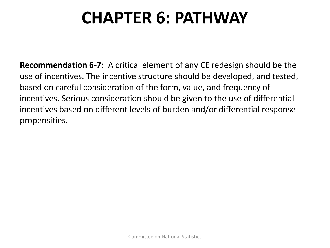**Recommendation 6-7:** A critical element of any CE redesign should be the use of incentives. The incentive structure should be developed, and tested, based on careful consideration of the form, value, and frequency of incentives. Serious consideration should be given to the use of differential incentives based on different levels of burden and/or differential response propensities.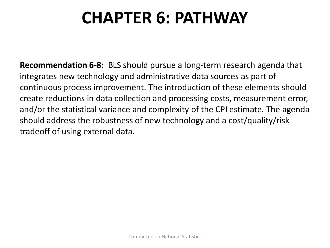**Recommendation 6-8:** BLS should pursue a long-term research agenda that integrates new technology and administrative data sources as part of continuous process improvement. The introduction of these elements should create reductions in data collection and processing costs, measurement error, and/or the statistical variance and complexity of the CPI estimate. The agenda should address the robustness of new technology and a cost/quality/risk tradeoff of using external data.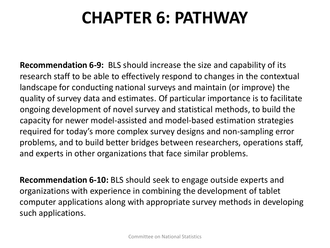**Recommendation 6-9:** BLS should increase the size and capability of its research staff to be able to effectively respond to changes in the contextual landscape for conducting national surveys and maintain (or improve) the quality of survey data and estimates. Of particular importance is to facilitate ongoing development of novel survey and statistical methods, to build the capacity for newer model-assisted and model-based estimation strategies required for today's more complex survey designs and non-sampling error problems, and to build better bridges between researchers, operations staff, and experts in other organizations that face similar problems.

**Recommendation 6-10:** BLS should seek to engage outside experts and organizations with experience in combining the development of tablet computer applications along with appropriate survey methods in developing such applications.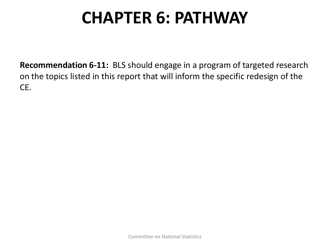**Recommendation 6-11:** BLS should engage in a program of targeted research on the topics listed in this report that will inform the specific redesign of the CE.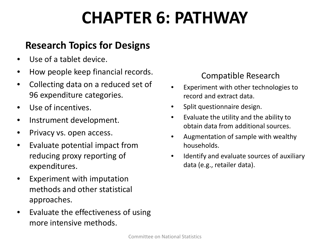### **Research Topics for Designs**

- Use of a tablet device.
- How people keep financial records.
- Collecting data on a reduced set of 96 expenditure categories.
- Use of incentives.
- Instrument development.
- Privacy vs. open access.
- Evaluate potential impact from reducing proxy reporting of expenditures.
- Experiment with imputation methods and other statistical approaches.
- Evaluate the effectiveness of using more intensive methods.

#### Compatible Research

- Experiment with other technologies to record and extract data.
- Split questionnaire design.
- Evaluate the utility and the ability to obtain data from additional sources.
- Augmentation of sample with wealthy households.
- Identify and evaluate sources of auxiliary data (e.g., retailer data).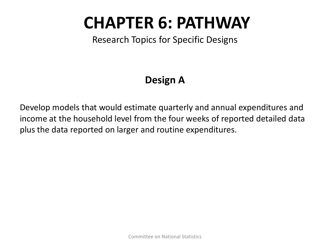Research Topics for Specific Designs

### **Design A**

Develop models that would estimate quarterly and annual expenditures and income at the household level from the four weeks of reported detailed data plus the data reported on larger and routine expenditures.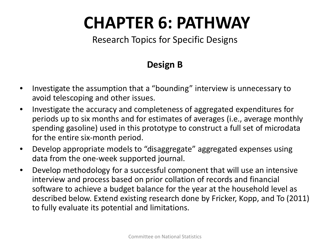#### Research Topics for Specific Designs

#### **Design B**

- Investigate the assumption that a "bounding" interview is unnecessary to avoid telescoping and other issues.
- Investigate the accuracy and completeness of aggregated expenditures for periods up to six months and for estimates of averages (i.e., average monthly spending gasoline) used in this prototype to construct a full set of microdata for the entire six-month period.
- Develop appropriate models to "disaggregate" aggregated expenses using data from the one-week supported journal.
- Develop methodology for a successful component that will use an intensive interview and process based on prior collation of records and financial software to achieve a budget balance for the year at the household level as described below. Extend existing research done by Fricker, Kopp, and To (2011) to fully evaluate its potential and limitations.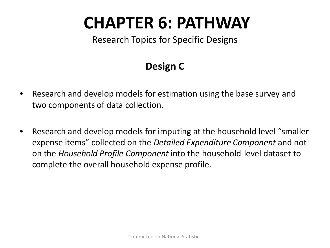Research Topics for Specific Designs

### **Design C**

- Research and develop models for estimation using the base survey and two components of data collection.
- Research and develop models for imputing at the household level "smaller expense items" collected on the *Detailed Expenditure Component* and not on the *Household Profile Component* into the household-level dataset to complete the overall household expense profile.